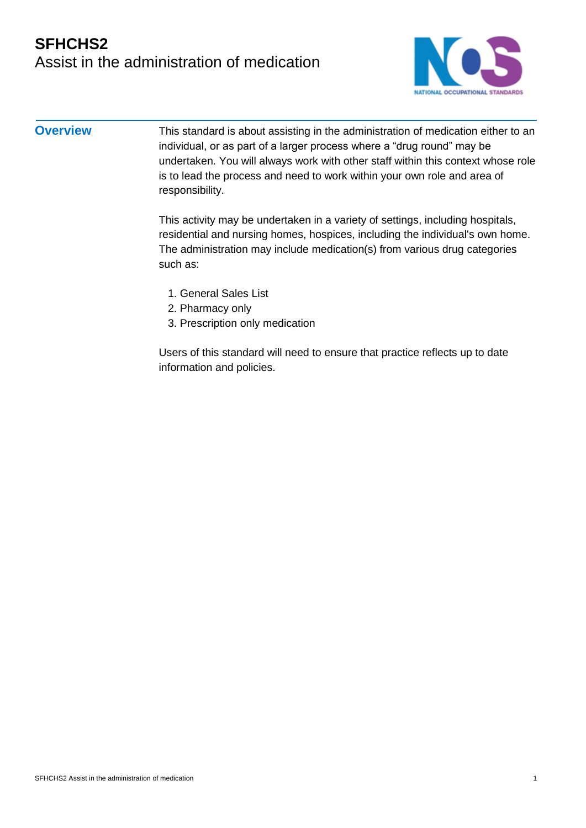## **SFHCHS2** Assist in the administration of medication



**Overview** This standard is about assisting in the administration of medication either to an individual, or as part of a larger process where a "drug round" may be undertaken. You will always work with other staff within this context whose role is to lead the process and need to work within your own role and area of responsibility.

> This activity may be undertaken in a variety of settings, including hospitals, residential and nursing homes, hospices, including the individual's own home. The administration may include medication(s) from various drug categories such as:

- 1. General Sales List
- 2. Pharmacy only
- 3. Prescription only medication

Users of this standard will need to ensure that practice reflects up to date information and policies.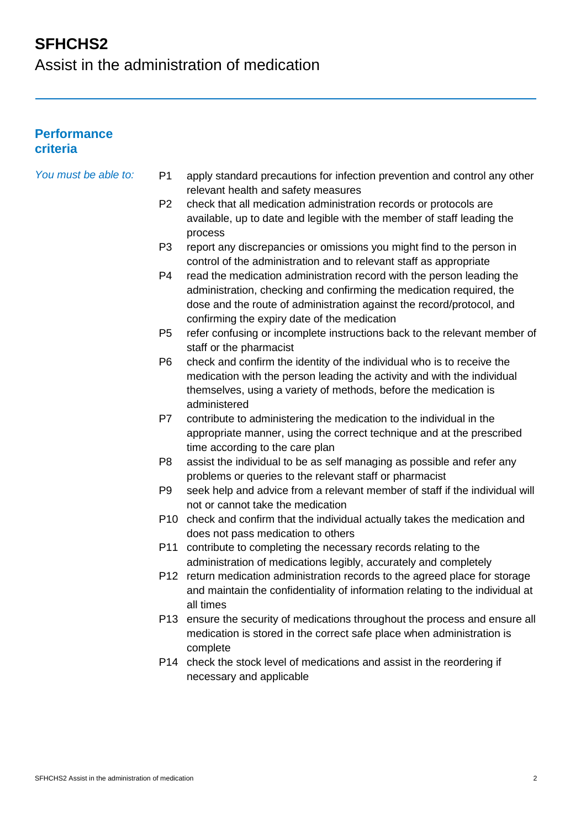Assist in the administration of medication

#### **Performance criteria**

| You must be able to: | P <sub>1</sub> | apply standard precautions for infection prevention and control any other<br>relevant health and safety measures                                                                                                                                                       |
|----------------------|----------------|------------------------------------------------------------------------------------------------------------------------------------------------------------------------------------------------------------------------------------------------------------------------|
|                      | P <sub>2</sub> | check that all medication administration records or protocols are<br>available, up to date and legible with the member of staff leading the<br>process                                                                                                                 |
|                      | P <sub>3</sub> | report any discrepancies or omissions you might find to the person in<br>control of the administration and to relevant staff as appropriate                                                                                                                            |
|                      | P4             | read the medication administration record with the person leading the<br>administration, checking and confirming the medication required, the<br>dose and the route of administration against the record/protocol, and<br>confirming the expiry date of the medication |
|                      | P <sub>5</sub> | refer confusing or incomplete instructions back to the relevant member of<br>staff or the pharmacist                                                                                                                                                                   |
|                      | P <sub>6</sub> | check and confirm the identity of the individual who is to receive the<br>medication with the person leading the activity and with the individual<br>themselves, using a variety of methods, before the medication is<br>administered                                  |
|                      | P7             | contribute to administering the medication to the individual in the<br>appropriate manner, using the correct technique and at the prescribed<br>time according to the care plan                                                                                        |
|                      | P <sub>8</sub> | assist the individual to be as self managing as possible and refer any<br>problems or queries to the relevant staff or pharmacist                                                                                                                                      |
|                      | P9             | seek help and advice from a relevant member of staff if the individual will<br>not or cannot take the medication                                                                                                                                                       |
|                      |                | P10 check and confirm that the individual actually takes the medication and<br>does not pass medication to others                                                                                                                                                      |
|                      | P11            | contribute to completing the necessary records relating to the                                                                                                                                                                                                         |

- administration of medications legibly, accurately and completely P12 return medication administration records to the agreed place for storage and maintain the confidentiality of information relating to the individual at
- all times P13 ensure the security of medications throughout the process and ensure all medication is stored in the correct safe place when administration is complete
- P14 check the stock level of medications and assist in the reordering if necessary and applicable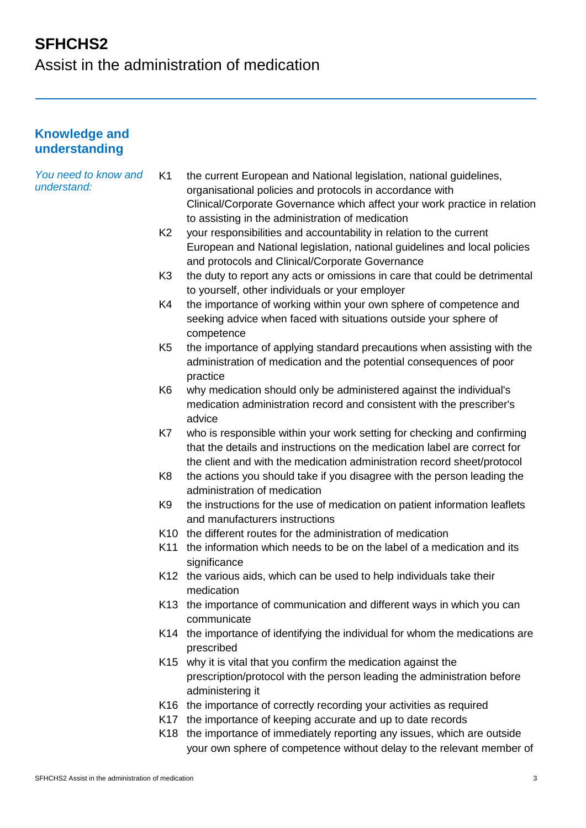Assist in the administration of medication

#### **Knowledge and understanding**

| You need to know and<br>understand: | K <sub>1</sub> | the current European and National legislation, national guidelines,<br>organisational policies and protocols in accordance with<br>Clinical/Corporate Governance which affect your work practice in relation<br>to assisting in the administration of medication |
|-------------------------------------|----------------|------------------------------------------------------------------------------------------------------------------------------------------------------------------------------------------------------------------------------------------------------------------|
|                                     | K <sub>2</sub> | your responsibilities and accountability in relation to the current<br>European and National legislation, national guidelines and local policies<br>and protocols and Clinical/Corporate Governance                                                              |
|                                     | K <sub>3</sub> | the duty to report any acts or omissions in care that could be detrimental<br>to yourself, other individuals or your employer                                                                                                                                    |
|                                     | K4             | the importance of working within your own sphere of competence and<br>seeking advice when faced with situations outside your sphere of<br>competence                                                                                                             |
|                                     | K <sub>5</sub> | the importance of applying standard precautions when assisting with the<br>administration of medication and the potential consequences of poor<br>practice                                                                                                       |
|                                     | K <sub>6</sub> | why medication should only be administered against the individual's<br>medication administration record and consistent with the prescriber's<br>advice                                                                                                           |
|                                     | K7             | who is responsible within your work setting for checking and confirming<br>that the details and instructions on the medication label are correct for<br>the client and with the medication administration record sheet/protocol                                  |
|                                     | K <sub>8</sub> | the actions you should take if you disagree with the person leading the<br>administration of medication                                                                                                                                                          |
|                                     | K <sub>9</sub> | the instructions for the use of medication on patient information leaflets<br>and manufacturers instructions                                                                                                                                                     |
|                                     |                | K10 the different routes for the administration of medication                                                                                                                                                                                                    |
|                                     | K11            | the information which needs to be on the label of a medication and its<br>significance                                                                                                                                                                           |
|                                     |                | K12 the various aids, which can be used to help individuals take their<br>medication                                                                                                                                                                             |
|                                     |                | K13 the importance of communication and different ways in which you can<br>communicate                                                                                                                                                                           |
|                                     |                | K14 the importance of identifying the individual for whom the medications are<br>prescribed                                                                                                                                                                      |
|                                     |                | K15 why it is vital that you confirm the medication against the<br>prescription/protocol with the person leading the administration before<br>administering it                                                                                                   |
|                                     |                | K16 the importance of correctly recording your activities as required                                                                                                                                                                                            |
|                                     |                | K17 the importance of keeping accurate and up to date records                                                                                                                                                                                                    |
|                                     |                | K18 the importance of immediately reporting any issues, which are outside<br>your own sphere of competence without delay to the relevant member of                                                                                                               |
|                                     |                |                                                                                                                                                                                                                                                                  |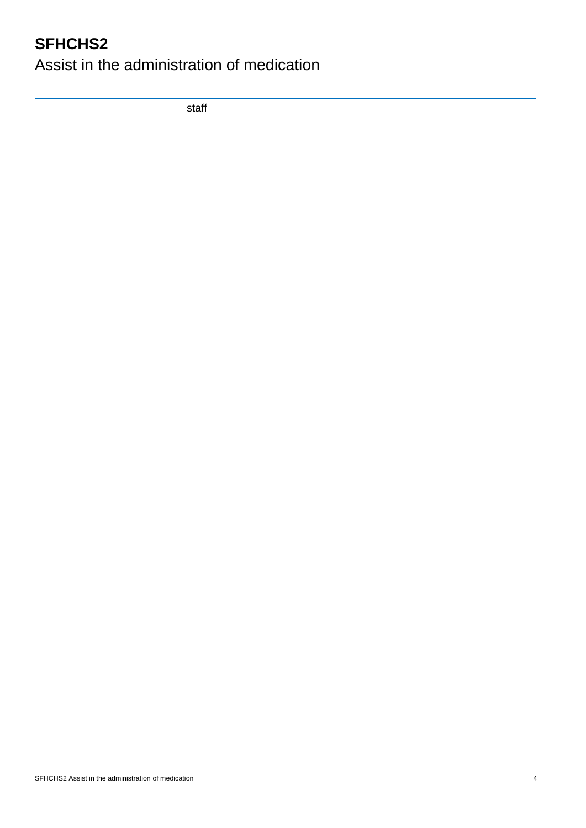Assist in the administration of medication

staff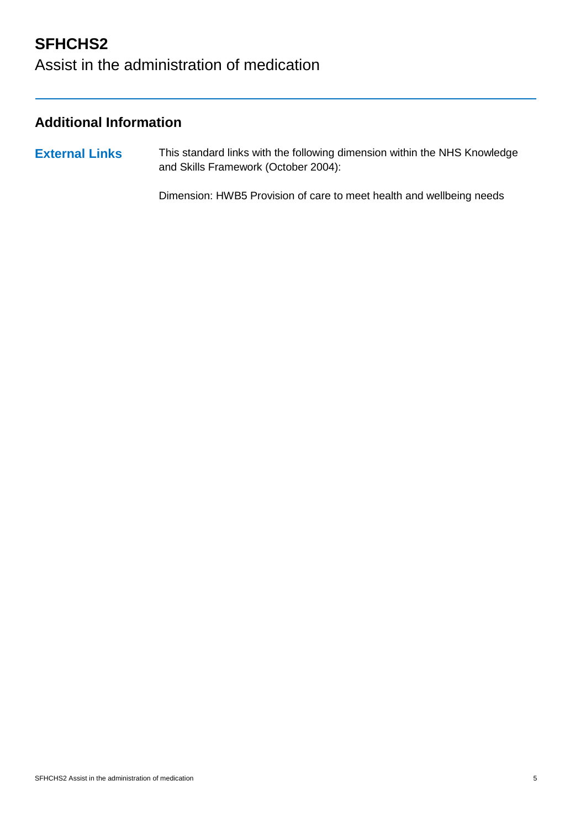# Assist in the administration of medication

### **Additional Information**

**External Links** This standard links with the following dimension within the NHS Knowledge and Skills Framework (October 2004):

Dimension: HWB5 Provision of care to meet health and wellbeing needs